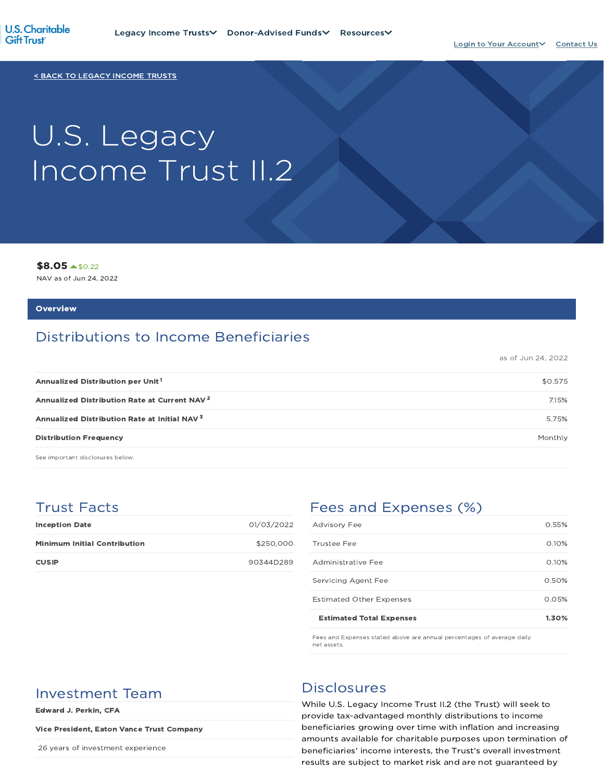

< BACK TO LEGACY INCOME TRUSTS

# U.S. Legacy Income Trust II.2

\$8.05 \$0.22

NAV as of Jun 24, 2022

#### **Overview**

# Distributions to Income Beneficiaries

as of Jun 24, 2022

| Annualized Distribution per Unit <sup>1</sup>            | \$0.575 |
|----------------------------------------------------------|---------|
| Annualized Distribution Rate at Current NAV <sup>2</sup> | 7.15%   |
| Annualized Distribution Rate at Initial NAV <sup>3</sup> | 5.75%   |
| <b>Distribution Frequency</b>                            | Monthly |

See important disclosures below.

## Trust Facts

| <b>Inception Date</b>               | 01/03/2022 |
|-------------------------------------|------------|
| <b>Minimum Initial Contribution</b> | \$250,000  |
| <b>CUSIP</b>                        | 90344D289  |

# Fees and Expenses (%)

| <b>Estimated Total Expenses</b> | 1.30% |
|---------------------------------|-------|
| <b>Estimated Other Expenses</b> | 0.05% |
| Servicing Agent Fee             | 0.50% |
| Administrative Fee              | 0.10% |
| Trustee Fee                     | 0.10% |
| <b>Advisory Fee</b>             | 0.55% |

Fees and Expenses stated above are annual percentages of average daily net assets.

# Investment Team Disclosures

Edward J. Perkin, CFA

#### Vice President, Eaton Vance Trust Company

26 years of investment experience

While U.S. Legacy Income Trust II.2 (the Trust) will seek to provide tax-advantaged monthly distributions to income beneficiaries growing over time with inflation and increasing amounts available for charitable purposes upon termination of beneficiaries' income interests, the Trust's overall investment results are subject to market risk and are not guaranteed by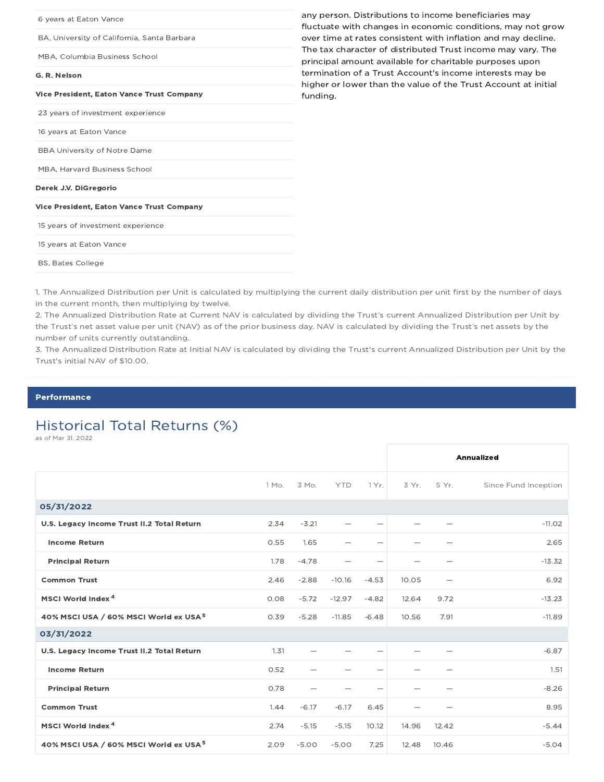| 6 years at Eaton Vance                           | any person. Distributions to income beneficiaries may<br>fluctuate with changes in economic conditions, may not grow       |
|--------------------------------------------------|----------------------------------------------------------------------------------------------------------------------------|
| BA, University of California, Santa Barbara      | over time at rates consistent with inflation and may decline.                                                              |
| MBA, Columbia Business School                    | The tax character of distributed Trust income may vary. The<br>principal amount available for charitable purposes upon     |
| G. R. Nelson                                     | termination of a Trust Account's income interests may be<br>higher or lower than the value of the Trust Account at initial |
| <b>Vice President, Eaton Vance Trust Company</b> | funding.                                                                                                                   |
| 23 years of investment experience                |                                                                                                                            |
| 16 years at Eaton Vance                          |                                                                                                                            |
| <b>BBA University of Notre Dame</b>              |                                                                                                                            |
| MBA, Harvard Business School                     |                                                                                                                            |
| Derek J.V. DiGregorio                            |                                                                                                                            |
| <b>Vice President, Eaton Vance Trust Company</b> |                                                                                                                            |
| 15 years of investment experience                |                                                                                                                            |
| 15 years at Eaton Vance                          |                                                                                                                            |
| <b>BS, Bates College</b>                         |                                                                                                                            |

1. The Annualized Distribution per Unit is calculated by multiplying the current daily distribution per unit first by the number of days in the current month, then multiplying by twelve.

2. The Annualized Distribution Rate at Current NAV is calculated by dividing the Trust's current Annualized Distribution per Unit by the Trust's net asset value per unit (NAV) as of the prior business day. NAV is calculated by dividing the Trust's net assets by the number of units currently outstanding.

3. The Annualized Distribution Rate at Initial NAV is calculated by dividing the Trust's current Annualized Distribution per Unit by the Trust's initial NAV of \$10.00.

#### Performance

# Historical Total Returns (%)

as of Mar 31, 2022

|                                                   |       |                          |            |                                  |                          |       | <b>Annualized</b>    |
|---------------------------------------------------|-------|--------------------------|------------|----------------------------------|--------------------------|-------|----------------------|
|                                                   | 1 Mo. | 3 Mo.                    | <b>YTD</b> | 1 Yr.                            | 3 Yr.                    | 5 Yr. | Since Fund Inception |
| 05/31/2022                                        |       |                          |            |                                  |                          |       |                      |
| U.S. Legacy Income Trust II.2 Total Return        | 2.34  | $-3.21$                  |            | $\overline{\phantom{0}}$         |                          |       | $-11.02$             |
| <b>Income Return</b>                              | 0.55  | 1.65                     |            | $\overbrace{\phantom{1232211}}$  |                          |       | 2.65                 |
| <b>Principal Return</b>                           | 1.78  | $-4.78$                  |            | $\qquad \qquad$                  | -                        |       | $-13.32$             |
| <b>Common Trust</b>                               | 2.46  | $-2.88$                  | $-10.16$   | $-4.53$                          | 10.05                    |       | 6.92                 |
| MSCI World Index <sup>4</sup>                     | 0.08  | $-5.72$                  | $-12.97$   | $-4.82$                          | 12.64                    | 9.72  | $-13.23$             |
| 40% MSCI USA / 60% MSCI World ex USA <sup>5</sup> | 0.39  | $-5.28$                  | $-11.85$   | $-6.48$                          | 10.56                    | 7.91  | $-11.89$             |
| 03/31/2022                                        |       |                          |            |                                  |                          |       |                      |
| U.S. Legacy Income Trust II.2 Total Return        | 1.31  |                          |            | $\overbrace{\phantom{12322111}}$ |                          |       | $-6.87$              |
| <b>Income Return</b>                              | 0.52  |                          |            |                                  |                          |       | 1.51                 |
| <b>Principal Return</b>                           | 0.78  | $\overline{\phantom{0}}$ |            | $\overline{\phantom{0}}$         | $\overline{\phantom{0}}$ |       | $-8.26$              |
| <b>Common Trust</b>                               | 1.44  | $-6.17$                  | $-6.17$    | 6.45                             |                          |       | 8.95                 |
| MSCI World Index <sup>4</sup>                     | 2.74  | $-5.15$                  | $-5.15$    | 10.12                            | 14.96                    | 12.42 | $-5.44$              |
| 40% MSCI USA / 60% MSCI World ex USA <sup>5</sup> | 2.09  | $-5.00$                  | $-5.00$    | 7.25                             | 12.48                    | 10.46 | $-5.04$              |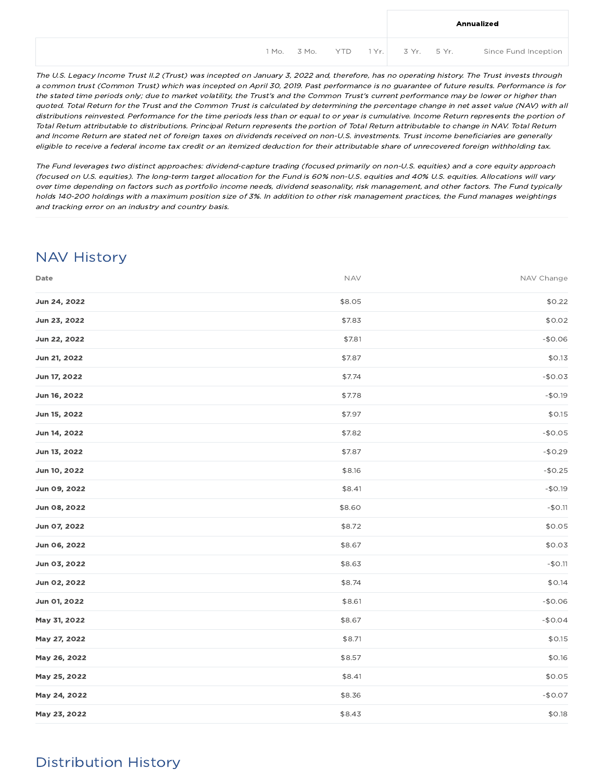|  |  |  | Annualized                                             |
|--|--|--|--------------------------------------------------------|
|  |  |  | 1 Mo. 3 Mo. YTD 1 Yr. 3 Yr. 5 Yr. Since Fund Inception |

The U.S. Legacy Income Trust II.2 (Trust) was incepted on January 3, 2022 and, therefore, has no operating history. The Trust invests through <sup>a</sup> common trust (Common Trust) which was incepted on April 30, 2019. Past performance is no guarantee of future results. Performance is for the stated time periods only; due to market volatility, the Trust's and the Common Trust's current performance may be lower or higher than quoted. Total Return for the Trust and the Common Trust is calculated by determining the percentage change in net asset value (NAV) with all distributions reinvested. Performance for the time periods less than or equal to or year is cumulative. Income Return represents the portion of Total Return attributable to distributions. Principal Return represents the portion of Total Return attributable to change in NAV. Total Return and Income Return are stated net of foreign taxes on dividends received on non-U.S. investments. Trust income beneficiaries are generally eligible to receive <sup>a</sup> federal income tax credit or an itemized deduction for their attributable share of unrecovered foreign withholding tax.

The Fund leverages two distinct approaches: dividend-capture trading (focused primarily on non-U.S. equities) and <sup>a</sup> core equity approach (focused on U.S. equities). The long-term target allocation for the Fund is 60% non-U.S. equities and 40% U.S. equities. Allocations will vary over time depending on factors such as portfolio income needs, dividend seasonality, risk management, and other factors. The Fund typically holds 140-200 holdings with <sup>a</sup> maximum position size of 3%. In addition to other risk management practices, the Fund manages weightings and tracking error on an industry and country basis.

# NAV History

| Date         | <b>NAV</b> | NAV Change |
|--------------|------------|------------|
| Jun 24, 2022 | \$8.05     | \$0.22     |
| Jun 23, 2022 | \$7.83     | \$0.02     |
| Jun 22, 2022 | \$7.81     | $-$0.06$   |
| Jun 21, 2022 | \$7.87     | \$0.13     |
| Jun 17, 2022 | \$7.74     | $-$0.03$   |
| Jun 16, 2022 | \$7.78     | $-$0.19$   |
| Jun 15, 2022 | \$7.97     | \$0.15     |
| Jun 14, 2022 | \$7.82     | $-$0.05$   |
| Jun 13, 2022 | \$7.87     | $-$0.29$   |
| Jun 10, 2022 | \$8.16     | $-$0.25$   |
| Jun 09, 2022 | \$8.41     | $-$0.19$   |
| Jun 08, 2022 | \$8.60     | $-$0.11$   |
| Jun 07, 2022 | \$8.72     | \$0.05     |
| Jun 06, 2022 | \$8.67     | \$0.03     |
| Jun 03, 2022 | \$8.63     | $-$0.11$   |
| Jun 02, 2022 | \$8.74     | \$0.14     |
| Jun 01, 2022 | \$8.61     | $-$0.06$   |
| May 31, 2022 | \$8.67     | $-$0.04$   |
| May 27, 2022 | \$8.71     | \$0.15     |
| May 26, 2022 | \$8.57     | \$0.16     |
| May 25, 2022 | \$8.41     | \$0.05     |
| May 24, 2022 | \$8.36     | $-$0.07$   |
| May 23, 2022 | \$8.43     | \$0.18     |

# Distribution History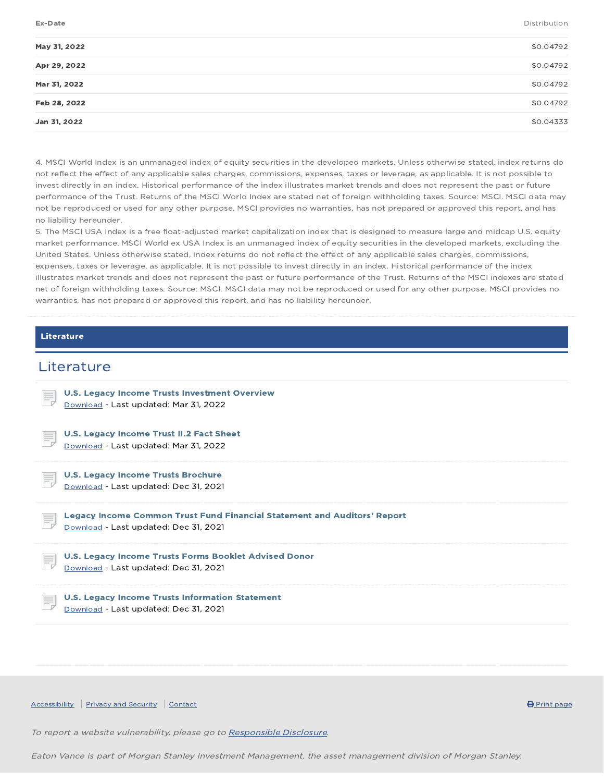Ex-Date Distribution

| May 31, 2022 | \$0.04792 |
|--------------|-----------|
| Apr 29, 2022 | \$0.04792 |
| Mar 31, 2022 | \$0.04792 |
| Feb 28, 2022 | \$0.04792 |
| Jan 31, 2022 | \$0.04333 |
|              |           |

4. MSCI World Index is an unmanaged index of equity securities in the developed markets. Unless otherwise stated, index returns do not reflect the effect of any applicable sales charges, commissions, expenses, taxes or leverage, as applicable. It is not possible to invest directly in an index. Historical performance of the index illustrates market trends and does not represent the past or future performance of the Trust. Returns of the MSCI World Index are stated net of foreign withholding taxes. Source: MSCI. MSCI data may not be reproduced or used for any other purpose. MSCI provides no warranties, has not prepared or approved this report, and has no liability hereunder.

5. The MSCI USA Index is a free float-adjusted market capitalization index that is designed to measure large and midcap U.S. equity market performance. MSCI World ex USA Index is an unmanaged index of equity securities in the developed markets, excluding the United States. Unless otherwise stated, index returns do not reflect the effect of any applicable sales charges, commissions, expenses, taxes or leverage, as applicable. It is not possible to invest directly in an index. Historical performance of the index illustrates market trends and does not represent the past or future performance of the Trust. Returns of the MSCI indexes are stated net of foreign withholding taxes. Source: MSCI. MSCI data may not be reproduced or used for any other purpose. MSCI provides no warranties, has not prepared or approved this report, and has no liability hereunder.

#### Literature

### **Literature**



 $\overline{A}$  Accessibility Privacy and Security Contact  $\overline{B}$  Print page  $\overline{B}$  Print page

To report a website vulnerability, please go to Responsible Disclosure.